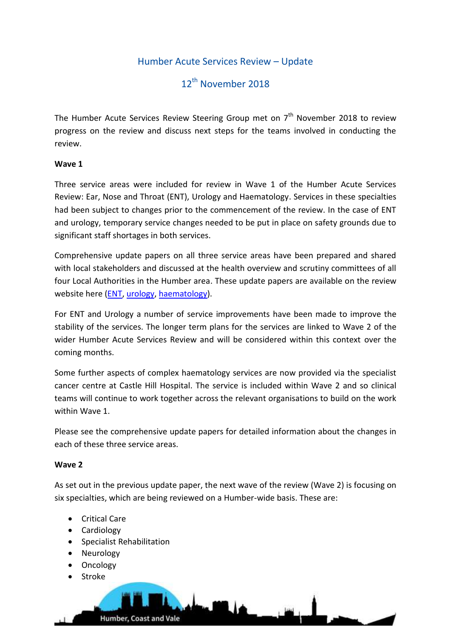# Humber Acute Services Review – Update

# 12<sup>th</sup> November 2018

The Humber Acute Services Review Steering Group met on 7<sup>th</sup> November 2018 to review progress on the review and discuss next steps for the teams involved in conducting the review.

## **Wave 1**

Three service areas were included for review in Wave 1 of the Humber Acute Services Review: Ear, Nose and Throat (ENT), Urology and Haematology. Services in these specialties had been subject to changes prior to the commencement of the review. In the case of ENT and urology, temporary service changes needed to be put in place on safety grounds due to significant staff shortages in both services.

Comprehensive update papers on all three service areas have been prepared and shared with local stakeholders and discussed at the health overview and scrutiny committees of all four Local Authorities in the Humber area. These update papers are available on the review website here [\(ENT,](http://humbercoastandvale.org.uk/wp-content/uploads/2018/11/Review-update-ENT-July-18_final-1.pdf) [urology,](http://humbercoastandvale.org.uk/wp-content/uploads/2018/11/Review-update-Urology-July-18_final-1.pdf) [haematology\)](http://humbercoastandvale.org.uk/wp-content/uploads/2018/11/Review-update-HaemOnc-July-18_final-1.pdf).

For ENT and Urology a number of service improvements have been made to improve the stability of the services. The longer term plans for the services are linked to Wave 2 of the wider Humber Acute Services Review and will be considered within this context over the coming months.

Some further aspects of complex haematology services are now provided via the specialist cancer centre at Castle Hill Hospital. The service is included within Wave 2 and so clinical teams will continue to work together across the relevant organisations to build on the work within Wave 1.

Please see the comprehensive update papers for detailed information about the changes in each of these three service areas.

## **Wave 2**

As set out in the previous update paper, the next wave of the review (Wave 2) is focusing on six specialties, which are being reviewed on a Humber-wide basis. These are:

- Critical Care
- Cardiology
- Specialist Rehabilitation
- Neurology
- Oncology
- Stroke

Humber, Coast and Vale